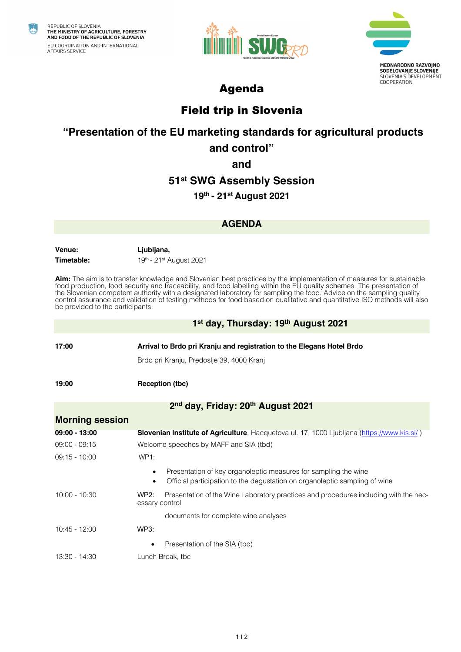

REPUBLIC OF SLOVENIA<br>THE MINISTRY OF AGRICULTURE, FORESTRY AND FOOD OF THE REPUBLIC OF SLOVENIA EU COORDINATION AND INTERNATIONAL AFFAIRS SERVICE





# Agenda

# Field trip in Slovenia

# **"Presentation of the EU marketing standards for agricultural products**

## **and control"**

#### **and**

## **51st SWG Assembly Session**

## **19th - 21st August 2021**

#### **AGENDA**

**Venue: Ljubljana,** 

**Timetable: 19th - 21st August 2021** 

**Aim:** The aim is to transfer knowledge and Slovenian best practices by the implementation of measures for sustainable food production, food security and traceability, and food labelling within the EU quality schemes. The presentation of the Slovenian competent authority with a designated laboratory for sampling the food. Advice on the sampling quality control assurance and validation of testing methods for food based on qualitative and quantitative ISO methods will also be provided to the participants.

#### **1st day, Thursday: 19th August 2021**

**17:00 Arrival to Brdo pri Kranju and registration to the Elegans Hotel Brdo** Brdo pri Kranju, Predoslje 39, 4000 Kranj **19:00 Reception (tbc) 2nd day, Friday: 20th August 2021 Morning session 09:00 - 13:00 Slovenian Institute of Agriculture**, Hacquetova ul. 17, 1000 Ljubljana (https://www.kis.si/ ) 09:00 - 09:15 Welcome speeches by MAFF and SIA (tbd) 09:15 - 10:00 WP1: Presentation of key organoleptic measures for sampling the wine • Official participation to the degustation on organoleptic sampling of wine 10:00 - 10:30 WP2: Presentation of the Wine Laboratory practices and procedures including with the necessary control

documents for complete wine analyses

|                                    |  |  |                             | Presentation of the SIA (tbc) |  |  |  |
|------------------------------------|--|--|-----------------------------|-------------------------------|--|--|--|
| $\sim$ $\sim$ $\sim$ $\sim$ $\sim$ |  |  | $\sim$ $\sim$ $\sim$ $\sim$ |                               |  |  |  |

10:45 - 12:00 WP3:

13:30 - 14:30 Lunch Break, tbc